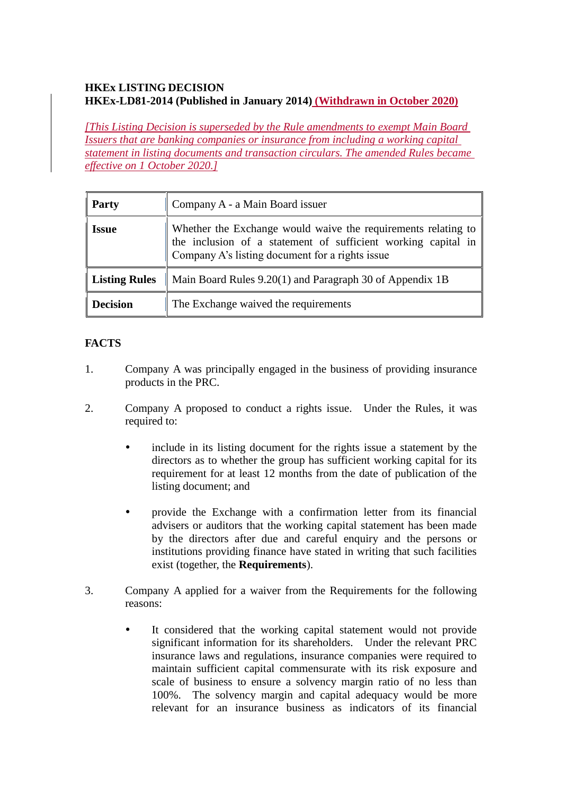# **HKEx LISTING DECISION HKEx-LD81-2014 (Published in January 2014) (Withdrawn in October 2020)**

*[This Listing Decision is superseded by the Rule amendments to exempt Main Board Issuers that are banking companies or insurance from including a working capital statement in listing documents and transaction circulars. The amended Rules became effective on 1 October 2020.]*

| <b>Party</b>         | Company A - a Main Board issuer                                                                                                                                                   |
|----------------------|-----------------------------------------------------------------------------------------------------------------------------------------------------------------------------------|
| <b>Issue</b>         | Whether the Exchange would waive the requirements relating to<br>the inclusion of a statement of sufficient working capital in<br>Company A's listing document for a rights issue |
| <b>Listing Rules</b> | Main Board Rules 9.20(1) and Paragraph 30 of Appendix 1B                                                                                                                          |
| <b>Decision</b>      | The Exchange waived the requirements                                                                                                                                              |

### **FACTS**

- 1. Company A was principally engaged in the business of providing insurance products in the PRC.
- 2. Company A proposed to conduct a rights issue. Under the Rules, it was required to:
	- include in its listing document for the rights issue a statement by the directors as to whether the group has sufficient working capital for its requirement for at least 12 months from the date of publication of the listing document; and
	- provide the Exchange with a confirmation letter from its financial advisers or auditors that the working capital statement has been made by the directors after due and careful enquiry and the persons or institutions providing finance have stated in writing that such facilities exist (together, the **Requirements**).
- 3. Company A applied for a waiver from the Requirements for the following reasons:
	- It considered that the working capital statement would not provide significant information for its shareholders. Under the relevant PRC insurance laws and regulations, insurance companies were required to maintain sufficient capital commensurate with its risk exposure and scale of business to ensure a solvency margin ratio of no less than 100%. The solvency margin and capital adequacy would be more relevant for an insurance business as indicators of its financial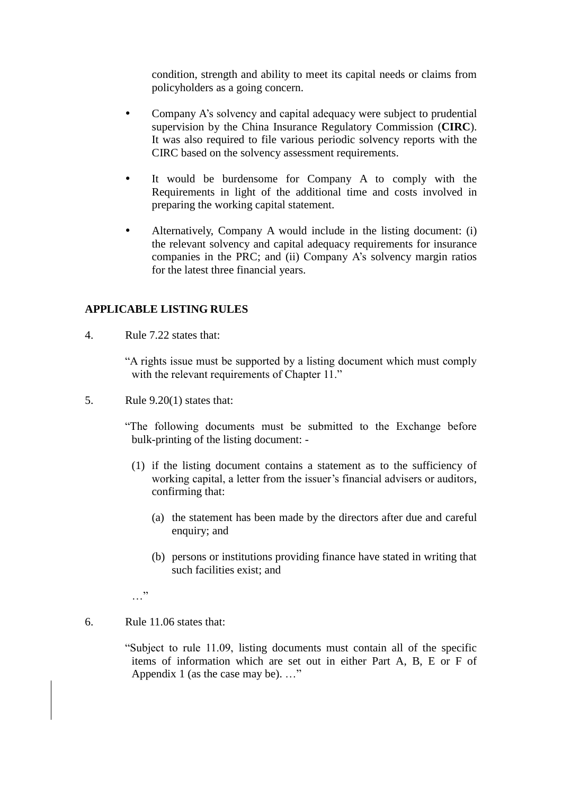condition, strength and ability to meet its capital needs or claims from policyholders as a going concern.

- Company A's solvency and capital adequacy were subject to prudential supervision by the China Insurance Regulatory Commission (**CIRC**). It was also required to file various periodic solvency reports with the CIRC based on the solvency assessment requirements.
- It would be burdensome for Company A to comply with the Requirements in light of the additional time and costs involved in preparing the working capital statement.
- Alternatively, Company A would include in the listing document: (i) the relevant solvency and capital adequacy requirements for insurance companies in the PRC; and (ii) Company A's solvency margin ratios for the latest three financial years.

#### **APPLICABLE LISTING RULES**

4. Rule 7.22 states that:

"A rights issue must be supported by a listing document which must comply with the relevant requirements of Chapter 11."

5. Rule 9.20(1) states that:

"The following documents must be submitted to the Exchange before bulk-printing of the listing document: -

- (1) if the listing document contains a statement as to the sufficiency of working capital, a letter from the issuer's financial advisers or auditors, confirming that:
	- (a) the statement has been made by the directors after due and careful enquiry; and
	- (b) persons or institutions providing finance have stated in writing that such facilities exist; and

…"

6. Rule 11.06 states that:

"Subject to rule 11.09, listing documents must contain all of the specific items of information which are set out in either Part A, B, E or F of Appendix 1 (as the case may be). …"